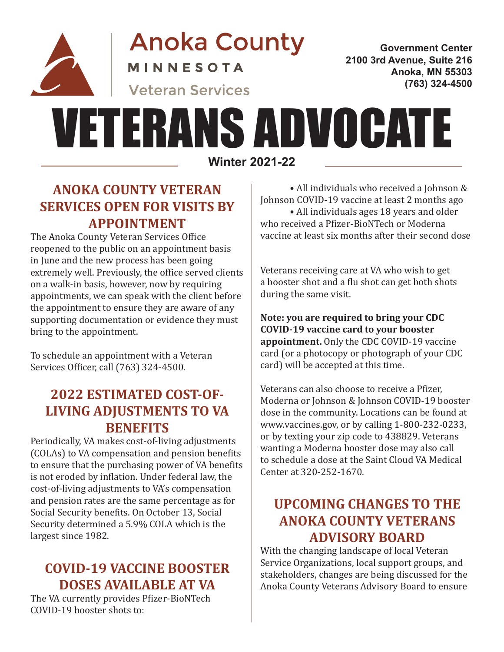

**Anoka County** 

**MINNESOTA** 

**Veteran Services** 

**Government Center 2100 3rd Avenue, Suite 216 Anoka, MN 55303 (763) 324-4500**

# **Winter 2021-22** VETERANS ADVOCATE

## **ANOKA COUNTY VETERAN SERVICES OPEN FOR VISITS BY APPOINTMENT**

The Anoka County Veteran Services Office reopened to the public on an appointment basis in June and the new process has been going extremely well. Previously, the office served clients on a walk-in basis, however, now by requiring appointments, we can speak with the client before the appointment to ensure they are aware of any supporting documentation or evidence they must bring to the appointment.

To schedule an appointment with a Veteran Services Officer, call (763) 324-4500.

# **2022 ESTIMATED COST-OF-LIVING ADJUSTMENTS TO VA BENEFITS**

Periodically, VA makes cost-of-living adjustments (COLAs) to VA compensation and pension benefits to ensure that the purchasing power of VA benefits is not eroded by inflation. Under federal law, the cost-of-living adjustments to VA's compensation and pension rates are the same percentage as for Social Security benefits. On October 13, Social Security determined a 5.9% COLA which is the largest since 1982.

## **COVID-19 VACCINE BOOSTER DOSES AVAILABLE AT VA**

The VA currently provides Pfizer-BioNTech COVID-19 booster shots to:

• All individuals who received a Johnson & Johnson COVID-19 vaccine at least 2 months ago • All individuals ages 18 years and older who received a Pfizer-BioNTech or Moderna vaccine at least six months after their second dose

Veterans receiving care at VA who wish to get a booster shot and a flu shot can get both shots during the same visit.

**Note: you are required to bring your CDC COVID-19 vaccine card to your booster appointment.** Only the CDC COVID-19 vaccine card (or a photocopy or photograph of your CDC card) will be accepted at this time.

Veterans can also choose to receive a Pfizer, Moderna or Johnson & Johnson COVID-19 booster dose in the community. Locations can be found at www.vaccines.gov, or by calling 1-800-232-0233, or by texting your zip code to 438829. Veterans wanting a Moderna booster dose may also call to schedule a dose at the Saint Cloud VA Medical Center at 320-252-1670.

## **UPCOMING CHANGES TO THE ANOKA COUNTY VETERANS ADVISORY BOARD**

With the changing landscape of local Veteran Service Organizations, local support groups, and stakeholders, changes are being discussed for the Anoka County Veterans Advisory Board to ensure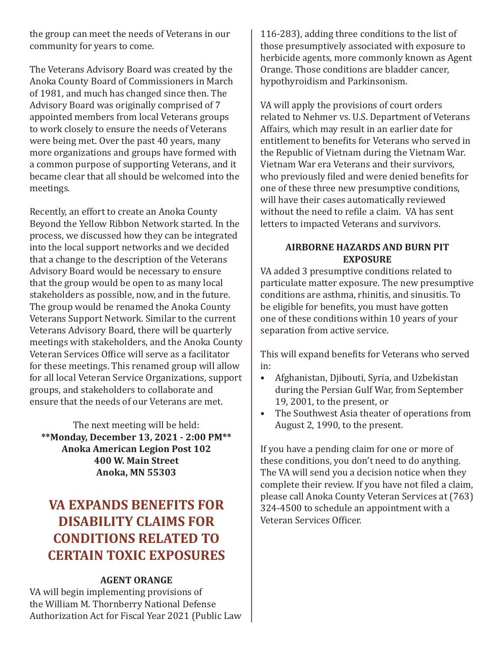the group can meet the needs of Veterans in our community for years to come.

The Veterans Advisory Board was created by the Anoka County Board of Commissioners in March of 1981, and much has changed since then. The Advisory Board was originally comprised of 7 appointed members from local Veterans groups to work closely to ensure the needs of Veterans were being met. Over the past 40 years, many more organizations and groups have formed with a common purpose of supporting Veterans, and it became clear that all should be welcomed into the meetings.

Recently, an effort to create an Anoka County Beyond the Yellow Ribbon Network started. In the process, we discussed how they can be integrated into the local support networks and we decided that a change to the description of the Veterans Advisory Board would be necessary to ensure that the group would be open to as many local stakeholders as possible, now, and in the future. The group would be renamed the Anoka County Veterans Support Network. Similar to the current Veterans Advisory Board, there will be quarterly meetings with stakeholders, and the Anoka County Veteran Services Office will serve as a facilitator for these meetings. This renamed group will allow for all local Veteran Service Organizations, support groups, and stakeholders to collaborate and ensure that the needs of our Veterans are met.

The next meeting will be held: **\*\*Monday, December 13, 2021 - 2:00 PM\*\* Anoka American Legion Post 102 400 W. Main Street Anoka, MN 55303**

## **VA EXPANDS BENEFITS FOR DISABILITY CLAIMS FOR CONDITIONS RELATED TO CERTAIN TOXIC EXPOSURES**

#### **AGENT ORANGE**

VA will begin implementing provisions of the William M. Thornberry National Defense Authorization Act for Fiscal Year 2021 (Public Law

116-283), adding three conditions to the list of those presumptively associated with exposure to herbicide agents, more commonly known as Agent Orange. Those conditions are bladder cancer, hypothyroidism and Parkinsonism.

VA will apply the provisions of court orders related to Nehmer vs. U.S. Department of Veterans Affairs, which may result in an earlier date for entitlement to benefits for Veterans who served in the Republic of Vietnam during the Vietnam War. Vietnam War era Veterans and their survivors, who previously filed and were denied benefits for one of these three new presumptive conditions, will have their cases automatically reviewed without the need to refile a claim. VA has sent letters to impacted Veterans and survivors.

#### **AIRBORNE HAZARDS AND BURN PIT EXPOSURE**

VA added 3 presumptive conditions related to particulate matter exposure. The new presumptive conditions are asthma, rhinitis, and sinusitis. To be eligible for benefits, you must have gotten one of these conditions within 10 years of your separation from active service.

This will expand benefits for Veterans who served in:

- Afghanistan, Djibouti, Syria, and Uzbekistan during the Persian Gulf War, from September 19, 2001, to the present, or
- The Southwest Asia theater of operations from August 2, 1990, to the present.

If you have a pending claim for one or more of these conditions, you don't need to do anything. The VA will send you a decision notice when they complete their review. If you have not filed a claim, please call Anoka County Veteran Services at (763) 324-4500 to schedule an appointment with a Veteran Services Officer.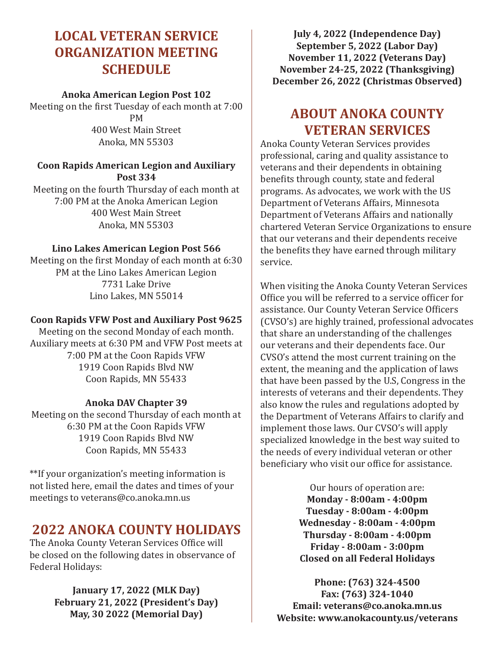## **LOCAL VETERAN SERVICE ORGANIZATION MEETING SCHEDULE**

#### **Anoka American Legion Post 102**

Meeting on the first Tuesday of each month at 7:00 PM 400 West Main Street Anoka, MN 55303

#### **Coon Rapids American Legion and Auxiliary Post 334**

Meeting on the fourth Thursday of each month at 7:00 PM at the Anoka American Legion 400 West Main Street Anoka, MN 55303

#### **Lino Lakes American Legion Post 566**

Meeting on the first Monday of each month at 6:30 PM at the Lino Lakes American Legion 7731 Lake Drive Lino Lakes, MN 55014

#### **Coon Rapids VFW Post and Auxiliary Post 9625**

Meeting on the second Monday of each month. Auxiliary meets at 6:30 PM and VFW Post meets at 7:00 PM at the Coon Rapids VFW 1919 Coon Rapids Blvd NW Coon Rapids, MN 55433

#### **Anoka DAV Chapter 39**

Meeting on the second Thursday of each month at 6:30 PM at the Coon Rapids VFW 1919 Coon Rapids Blvd NW Coon Rapids, MN 55433

\*\*If your organization's meeting information is not listed here, email the dates and times of your meetings to veterans@co.anoka.mn.us

### **2022 ANOKA COUNTY HOLIDAYS**

The Anoka County Veteran Services Office will be closed on the following dates in observance of Federal Holidays:

#### **January 17, 2022 (MLK Day) February 21, 2022 (President's Day) May, 30 2022 (Memorial Day)**

**July 4, 2022 (Independence Day) September 5, 2022 (Labor Day) November 11, 2022 (Veterans Day) November 24-25, 2022 (Thanksgiving) December 26, 2022 (Christmas Observed)**

## **ABOUT ANOKA COUNTY VETERAN SERVICES**

Anoka County Veteran Services provides professional, caring and quality assistance to veterans and their dependents in obtaining benefits through county, state and federal programs. As advocates, we work with the US Department of Veterans Affairs, Minnesota Department of Veterans Affairs and nationally chartered Veteran Service Organizations to ensure that our veterans and their dependents receive the benefits they have earned through military service.

When visiting the Anoka County Veteran Services Office you will be referred to a service officer for assistance. Our County Veteran Service Officers (CVSO's) are highly trained, professional advocates that share an understanding of the challenges our veterans and their dependents face. Our CVSO's attend the most current training on the extent, the meaning and the application of laws that have been passed by the U.S, Congress in the interests of veterans and their dependents. They also know the rules and regulations adopted by the Department of Veterans Affairs to clarify and implement those laws. Our CVSO's will apply specialized knowledge in the best way suited to the needs of every individual veteran or other beneficiary who visit our office for assistance.

> Our hours of operation are: **Monday - 8:00am - 4:00pm Tuesday - 8:00am - 4:00pm Wednesday - 8:00am - 4:00pm Thursday - 8:00am - 4:00pm Friday - 8:00am - 3:00pm Closed on all Federal Holidays**

**Phone: (763) 324-4500 Fax: (763) 324-1040 Email: veterans@co.anoka.mn.us Website: www.anokacounty.us/veterans**